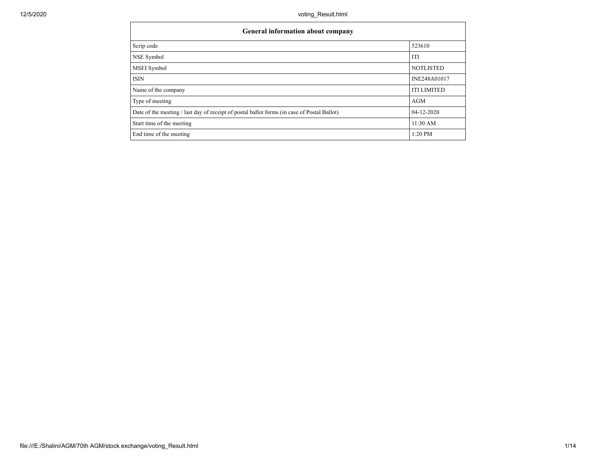| General information about company                                                           |                    |  |  |  |  |  |  |
|---------------------------------------------------------------------------------------------|--------------------|--|--|--|--|--|--|
| Scrip code                                                                                  | 523610             |  |  |  |  |  |  |
| NSE Symbol                                                                                  | ITI                |  |  |  |  |  |  |
| MSEI Symbol                                                                                 | <b>NOTLISTED</b>   |  |  |  |  |  |  |
| <b>ISIN</b>                                                                                 | INE248A01017       |  |  |  |  |  |  |
| Name of the company                                                                         | <b>ITI LIMITED</b> |  |  |  |  |  |  |
| Type of meeting                                                                             | AGM                |  |  |  |  |  |  |
| Date of the meeting / last day of receipt of postal ballot forms (in case of Postal Ballot) | $04-12-2020$       |  |  |  |  |  |  |
| Start time of the meeting                                                                   | 11:30 AM           |  |  |  |  |  |  |
| End time of the meeting                                                                     | $1:20$ PM          |  |  |  |  |  |  |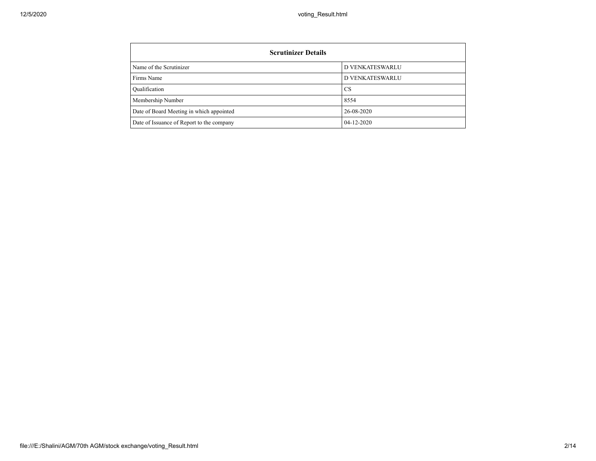| <b>Scrutinizer Details</b>                |                        |  |  |  |  |  |  |  |
|-------------------------------------------|------------------------|--|--|--|--|--|--|--|
| Name of the Scrutinizer                   | <b>D VENKATESWARLU</b> |  |  |  |  |  |  |  |
| Firms Name                                | <b>D VENKATESWARLU</b> |  |  |  |  |  |  |  |
| Qualification                             | <b>CS</b>              |  |  |  |  |  |  |  |
| Membership Number                         | 8554                   |  |  |  |  |  |  |  |
| Date of Board Meeting in which appointed  | 26-08-2020             |  |  |  |  |  |  |  |
| Date of Issuance of Report to the company | $04 - 12 - 2020$       |  |  |  |  |  |  |  |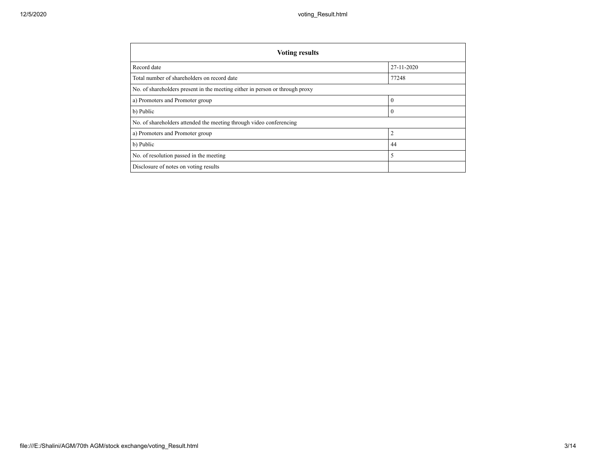| <b>Voting results</b>                                                        |                |  |  |  |  |  |
|------------------------------------------------------------------------------|----------------|--|--|--|--|--|
| Record date                                                                  | 27-11-2020     |  |  |  |  |  |
| Total number of shareholders on record date                                  | 77248          |  |  |  |  |  |
| No. of shareholders present in the meeting either in person or through proxy |                |  |  |  |  |  |
| a) Promoters and Promoter group                                              | $\mathbf{0}$   |  |  |  |  |  |
| b) Public                                                                    | $\mathbf{0}$   |  |  |  |  |  |
| No. of shareholders attended the meeting through video conferencing          |                |  |  |  |  |  |
| a) Promoters and Promoter group                                              | $\overline{2}$ |  |  |  |  |  |
| b) Public                                                                    | 44             |  |  |  |  |  |
| No. of resolution passed in the meeting                                      | 5              |  |  |  |  |  |
| Disclosure of notes on voting results                                        |                |  |  |  |  |  |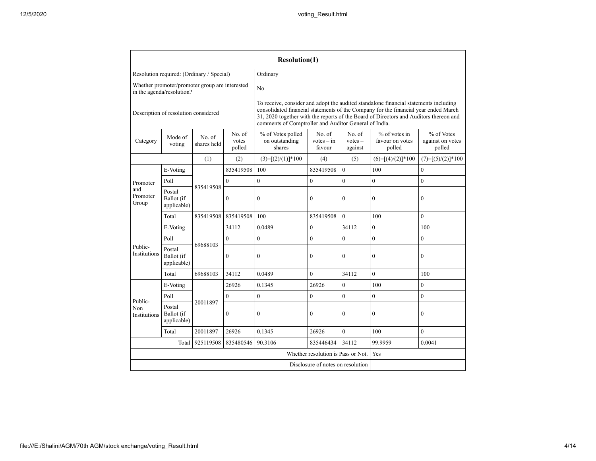|                                                                             |                                     |                                           |                                                                                                                                                                                                                                                                                                                               | <b>Resolution(1)</b>                          |                                    |                                |                                            |                                          |  |  |
|-----------------------------------------------------------------------------|-------------------------------------|-------------------------------------------|-------------------------------------------------------------------------------------------------------------------------------------------------------------------------------------------------------------------------------------------------------------------------------------------------------------------------------|-----------------------------------------------|------------------------------------|--------------------------------|--------------------------------------------|------------------------------------------|--|--|
|                                                                             |                                     | Resolution required: (Ordinary / Special) |                                                                                                                                                                                                                                                                                                                               | Ordinary                                      |                                    |                                |                                            |                                          |  |  |
| Whether promoter/promoter group are interested<br>in the agenda/resolution? |                                     |                                           |                                                                                                                                                                                                                                                                                                                               | N <sub>o</sub>                                |                                    |                                |                                            |                                          |  |  |
| Description of resolution considered                                        |                                     |                                           | To receive, consider and adopt the audited standalone financial statements including<br>consolidated financial statements of the Company for the financial year ended March<br>31, 2020 together with the reports of the Board of Directors and Auditors thereon and<br>comments of Comptroller and Auditor General of India. |                                               |                                    |                                |                                            |                                          |  |  |
| Category                                                                    | Mode of<br>voting                   | No. of<br>shares held                     | No. of<br>votes<br>polled                                                                                                                                                                                                                                                                                                     | % of Votes polled<br>on outstanding<br>shares | No. of<br>$votes - in$<br>favour   | No. of<br>$votes -$<br>against | % of votes in<br>favour on votes<br>polled | % of Votes<br>against on votes<br>polled |  |  |
|                                                                             |                                     | (1)                                       | (2)                                                                                                                                                                                                                                                                                                                           | $(3)=[(2)/(1)]*100$                           | (4)                                | (5)                            | $(6)=[(4)/(2)]*100$                        | $(7)=[(5)/(2)]*100$                      |  |  |
|                                                                             | E-Voting                            |                                           | 835419508                                                                                                                                                                                                                                                                                                                     | 100                                           | 835419508                          | $\theta$                       | 100                                        | $\mathbf{0}$                             |  |  |
| Promoter                                                                    | Poll                                |                                           | $\mathbf{0}$                                                                                                                                                                                                                                                                                                                  | $\mathbf{0}$                                  | $\mathbf{0}$                       | $\theta$                       | $\overline{0}$                             | $\overline{0}$                           |  |  |
| and<br>Promoter<br>Group                                                    | Postal<br>Ballot (if<br>applicable) | 835419508                                 | $\boldsymbol{0}$                                                                                                                                                                                                                                                                                                              | $\mathbf{0}$                                  | $\mathbf{0}$                       | $\mathbf{0}$                   | $\overline{0}$                             | $\mathbf{0}$                             |  |  |
|                                                                             | Total                               | 835419508                                 | 835419508                                                                                                                                                                                                                                                                                                                     | 100                                           | 835419508                          | $\theta$                       | 100                                        | $\theta$                                 |  |  |
|                                                                             | E-Voting                            |                                           | 34112                                                                                                                                                                                                                                                                                                                         | 0.0489                                        | $\theta$                           | 34112                          | $\overline{0}$                             | 100                                      |  |  |
|                                                                             | Poll                                |                                           | $\overline{0}$                                                                                                                                                                                                                                                                                                                | $\mathbf{0}$                                  | $\mathbf{0}$                       | $\mathbf{0}$                   | $\overline{0}$                             | $\mathbf{0}$                             |  |  |
| Public-<br><b>Institutions</b>                                              | Postal<br>Ballot (if<br>applicable) | 69688103                                  | $\boldsymbol{0}$                                                                                                                                                                                                                                                                                                              | $\mathbf{0}$                                  | $\mathbf{0}$                       | $\overline{0}$                 | 0                                          | $\boldsymbol{0}$                         |  |  |
|                                                                             | Total                               | 69688103                                  | 34112                                                                                                                                                                                                                                                                                                                         | 0.0489                                        | $\mathbf{0}$                       | 34112                          | $\overline{0}$                             | 100                                      |  |  |
|                                                                             | E-Voting                            |                                           | 26926                                                                                                                                                                                                                                                                                                                         | 0.1345                                        | 26926                              | $\theta$                       | 100                                        | $\theta$                                 |  |  |
| Public-                                                                     | Poll                                |                                           | $\boldsymbol{0}$                                                                                                                                                                                                                                                                                                              | $\mathbf{0}$                                  | $\mathbf{0}$                       | $\mathbf{0}$                   | $\overline{0}$                             | $\mathbf{0}$                             |  |  |
| Non<br>Institutions                                                         | Postal<br>Ballot (if<br>applicable) | 20011897                                  | $\mathbf{0}$                                                                                                                                                                                                                                                                                                                  | $\mathbf{0}$                                  | $\mathbf{0}$                       | $\theta$                       | $\overline{0}$                             | $\mathbf{0}$                             |  |  |
|                                                                             | Total                               | 20011897                                  | 26926                                                                                                                                                                                                                                                                                                                         | 0.1345                                        | 26926                              | $\theta$                       | 100                                        | $\mathbf{0}$                             |  |  |
|                                                                             | Total                               | 925119508                                 | 835480546                                                                                                                                                                                                                                                                                                                     | 90.3106                                       | 835446434                          | 34112                          | 99.9959                                    | 0.0041                                   |  |  |
|                                                                             |                                     |                                           |                                                                                                                                                                                                                                                                                                                               |                                               | Whether resolution is Pass or Not. |                                | Yes                                        |                                          |  |  |
|                                                                             |                                     |                                           |                                                                                                                                                                                                                                                                                                                               |                                               | Disclosure of notes on resolution  |                                |                                            |                                          |  |  |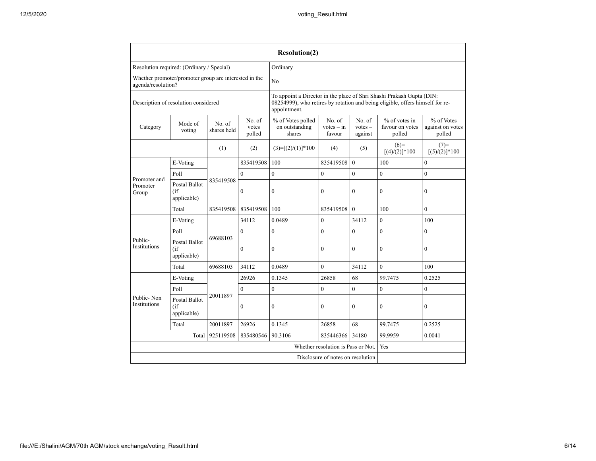|                                    |                                                       |                       |                           | <b>Resolution(2)</b>                          |                                                                                                                                                        |                                |                                              |                                          |  |  |
|------------------------------------|-------------------------------------------------------|-----------------------|---------------------------|-----------------------------------------------|--------------------------------------------------------------------------------------------------------------------------------------------------------|--------------------------------|----------------------------------------------|------------------------------------------|--|--|
|                                    | Resolution required: (Ordinary / Special)             |                       |                           | Ordinary                                      |                                                                                                                                                        |                                |                                              |                                          |  |  |
| agenda/resolution?                 | Whether promoter/promoter group are interested in the |                       |                           | No                                            |                                                                                                                                                        |                                |                                              |                                          |  |  |
|                                    | Description of resolution considered                  |                       |                           | appointment.                                  | To appoint a Director in the place of Shri Shashi Prakash Gupta (DIN:<br>08254999), who retires by rotation and being eligible, offers himself for re- |                                |                                              |                                          |  |  |
| Category                           | Mode of<br>voting                                     | No. of<br>shares held | No. of<br>votes<br>polled | % of Votes polled<br>on outstanding<br>shares | No. of<br>$votes - in$<br>favour                                                                                                                       | No. of<br>$votes -$<br>against | $%$ of votes in<br>favour on votes<br>polled | % of Votes<br>against on votes<br>polled |  |  |
|                                    |                                                       | (1)                   | (2)                       | $(3)=[(2)/(1)]*100$                           | (4)                                                                                                                                                    | (5)                            | $(6)=$<br>$[(4)/(2)]$ * 100                  | $(7)=$<br>$[(5)/(2)]$ *100               |  |  |
|                                    | E-Voting                                              |                       | 835419508                 | 100                                           | 835419508                                                                                                                                              | $\Omega$                       | 100                                          | $\theta$                                 |  |  |
| Promoter and                       | Poll                                                  |                       | $\Omega$                  | $\theta$                                      | $\mathbf{0}$                                                                                                                                           | $\theta$                       | $\theta$                                     | $\theta$                                 |  |  |
| Promoter<br>Group                  | Postal Ballot<br>(i f)<br>applicable)                 | 835419508             | $\mathbf{0}$              | $\mathbf{0}$                                  | $\mathbf{0}$                                                                                                                                           | $\mathbf{0}$                   | $\mathbf{0}$                                 | $\mathbf{0}$                             |  |  |
|                                    | Total                                                 | 835419508             | 835419508                 | 100                                           | 835419508                                                                                                                                              | $\Omega$                       | 100                                          | $\theta$                                 |  |  |
|                                    | E-Voting                                              |                       | 34112                     | 0.0489                                        | $\mathbf{0}$                                                                                                                                           | 34112                          | $\mathbf{0}$                                 | 100                                      |  |  |
|                                    | Poll                                                  |                       | $\Omega$                  | $\mathbf{0}$                                  | $\mathbf{0}$                                                                                                                                           | $\theta$                       | $\theta$                                     | $\theta$                                 |  |  |
| Public-<br>Institutions            | Postal Ballot<br>(i f)<br>applicable)                 | 69688103              | $\boldsymbol{0}$          | $\boldsymbol{0}$                              | $\boldsymbol{0}$                                                                                                                                       | $\overline{0}$                 | $\boldsymbol{0}$                             | $\mathbf{0}$                             |  |  |
|                                    | Total                                                 | 69688103              | 34112                     | 0.0489                                        | $\boldsymbol{0}$                                                                                                                                       | 34112                          | $\mathbf{0}$                                 | 100                                      |  |  |
|                                    | E-Voting                                              |                       | 26926                     | 0.1345                                        | 26858                                                                                                                                                  | 68                             | 99.7475                                      | 0.2525                                   |  |  |
|                                    | Poll                                                  |                       | $\Omega$                  | $\theta$                                      | $\theta$                                                                                                                                               | $\theta$                       | $\theta$                                     | $\theta$                                 |  |  |
| Public-Non<br><b>Institutions</b>  | Postal Ballot<br>(if<br>applicable)                   | 20011897              | $\mathbf{0}$              | $\mathbf{0}$                                  | $\mathbf{0}$                                                                                                                                           | $\mathbf{0}$                   | $\mathbf{0}$                                 | $\mathbf{0}$                             |  |  |
|                                    | Total                                                 | 20011897              | 26926                     | 0.1345                                        | 26858                                                                                                                                                  | 68                             | 99.7475                                      | 0.2525                                   |  |  |
|                                    | Total                                                 | 925119508             | 835480546                 | 90.3106                                       | 835446366                                                                                                                                              | 34180                          | 99.9959                                      | 0.0041                                   |  |  |
| Whether resolution is Pass or Not. |                                                       |                       |                           |                                               |                                                                                                                                                        |                                | Yes                                          |                                          |  |  |
|                                    |                                                       |                       |                           | Disclosure of notes on resolution             |                                                                                                                                                        |                                |                                              |                                          |  |  |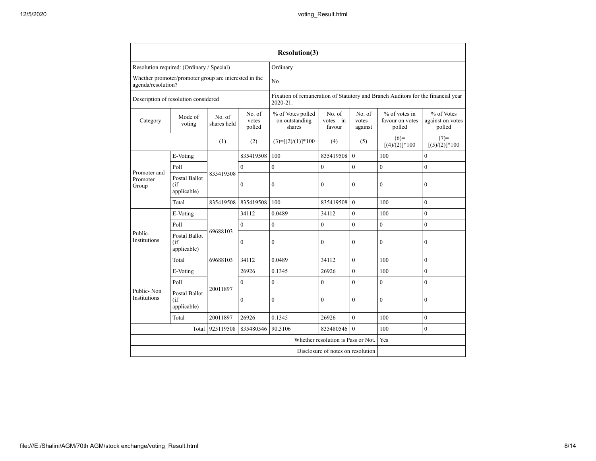|                                   |                                                                                                                                                                                                |           |                | <b>Resolution(3)</b>                                                                         |                                   |                |                                              |                                          |
|-----------------------------------|------------------------------------------------------------------------------------------------------------------------------------------------------------------------------------------------|-----------|----------------|----------------------------------------------------------------------------------------------|-----------------------------------|----------------|----------------------------------------------|------------------------------------------|
|                                   | Resolution required: (Ordinary / Special)                                                                                                                                                      |           |                | Ordinary                                                                                     |                                   |                |                                              |                                          |
|                                   | Whether promoter/promoter group are interested in the<br>agenda/resolution?                                                                                                                    |           |                |                                                                                              |                                   |                |                                              |                                          |
|                                   | Description of resolution considered                                                                                                                                                           |           |                | Fixation of remuneration of Statutory and Branch Auditors for the financial year<br>2020-21. |                                   |                |                                              |                                          |
| Category                          | No. of<br>% of Votes polled<br>No. of<br>No. of<br>Mode of<br>No. of<br>votes<br>on outstanding<br>$votes - in$<br>$votes -$<br>shares held<br>voting<br>shares<br>favour<br>against<br>polled |           |                |                                                                                              |                                   |                | $%$ of votes in<br>favour on votes<br>polled | % of Votes<br>against on votes<br>polled |
|                                   |                                                                                                                                                                                                | (1)       | (2)            | $(3)=[(2)/(1)]*100$                                                                          | (4)                               | (5)            | $(6)=$<br>$[(4)/(2)]$ *100                   | $(7)=$<br>$[(5)/(2)]$ *100               |
|                                   | E-Voting                                                                                                                                                                                       |           | 835419508      | 100                                                                                          | 835419508                         | $\theta$       | 100                                          | $\mathbf{0}$                             |
|                                   | Poll                                                                                                                                                                                           |           | $\Omega$       | $\mathbf{0}$                                                                                 | $\overline{0}$                    | $\mathbf{0}$   | $\boldsymbol{0}$                             | $\mathbf{0}$                             |
| Promoter and<br>Promoter<br>Group | Postal Ballot<br>(if<br>applicable)                                                                                                                                                            | 835419508 | $\mathbf{0}$   | $\boldsymbol{0}$                                                                             | $\mathbf{0}$                      | $\mathbf{0}$   | $\mathbf{0}$                                 | $\mathbf{0}$                             |
|                                   | Total                                                                                                                                                                                          | 835419508 | 835419508      | 100                                                                                          | 835419508                         | $\theta$       | 100                                          | $\theta$                                 |
|                                   | E-Voting                                                                                                                                                                                       |           | 34112          | 0.0489                                                                                       | 34112                             | $\mathbf{0}$   | 100                                          | $\mathbf{0}$                             |
|                                   | Poll                                                                                                                                                                                           | 69688103  | $\theta$       | $\theta$                                                                                     | $\theta$                          | $\overline{0}$ | $\theta$                                     | $\theta$                                 |
| Public-<br>Institutions           | <b>Postal Ballot</b><br>(if<br>applicable)                                                                                                                                                     |           | $\overline{0}$ | $\mathbf{0}$                                                                                 | $\theta$                          | $\mathbf{0}$   | $\mathbf{0}$                                 | $\mathbf{0}$                             |
|                                   | Total                                                                                                                                                                                          | 69688103  | 34112          | 0.0489                                                                                       | 34112                             | $\mathbf{0}$   | 100                                          | $\mathbf{0}$                             |
|                                   | E-Voting                                                                                                                                                                                       |           | 26926          | 0.1345                                                                                       | 26926                             | $\overline{0}$ | 100                                          | $\theta$                                 |
|                                   | Poll                                                                                                                                                                                           |           | $\Omega$       | $\mathbf{0}$                                                                                 | $\theta$                          | $\theta$       | $\mathbf{0}$                                 | $\theta$                                 |
| Public-Non<br>Institutions        | <b>Postal Ballot</b><br>(if<br>applicable)                                                                                                                                                     | 20011897  | $\mathbf{0}$   | $\mathbf{0}$                                                                                 | $\mathbf{0}$                      | $\mathbf{0}$   | $\mathbf{0}$                                 | $\mathbf{0}$                             |
|                                   | Total                                                                                                                                                                                          | 20011897  | 26926          | 0.1345                                                                                       | 26926                             | $\theta$       | 100                                          | $\theta$                                 |
|                                   | Total                                                                                                                                                                                          | 925119508 | 835480546      | 90.3106                                                                                      | 835480546                         | $\theta$       | 100                                          | $\theta$                                 |
|                                   | Whether resolution is Pass or Not.                                                                                                                                                             |           |                |                                                                                              |                                   |                | Yes                                          |                                          |
|                                   |                                                                                                                                                                                                |           |                |                                                                                              | Disclosure of notes on resolution |                |                                              |                                          |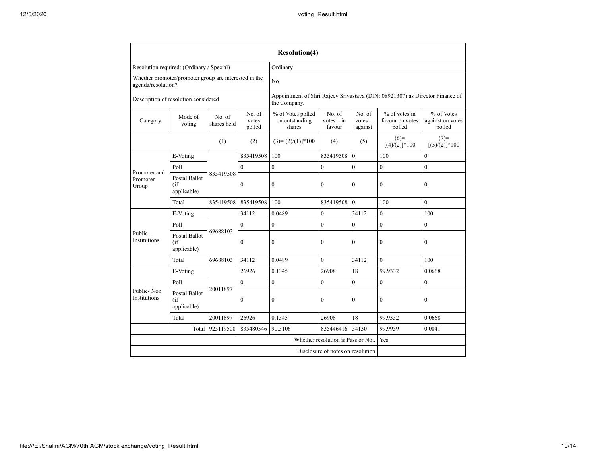|                                      |                                                                             |                       |                           | <b>Resolution(4)</b>                                                                         |                                   |                                |                                              |                                          |
|--------------------------------------|-----------------------------------------------------------------------------|-----------------------|---------------------------|----------------------------------------------------------------------------------------------|-----------------------------------|--------------------------------|----------------------------------------------|------------------------------------------|
|                                      | Resolution required: (Ordinary / Special)                                   |                       |                           | Ordinary                                                                                     |                                   |                                |                                              |                                          |
|                                      | Whether promoter/promoter group are interested in the<br>agenda/resolution? |                       |                           |                                                                                              |                                   |                                |                                              |                                          |
| Description of resolution considered |                                                                             |                       |                           | Appointment of Shri Rajeev Srivastava (DIN: 08921307) as Director Finance of<br>the Company. |                                   |                                |                                              |                                          |
| Category                             | Mode of<br>voting                                                           | No. of<br>shares held | No. of<br>votes<br>polled | % of Votes polled<br>on outstanding<br>shares                                                | No. of<br>$votes - in$<br>favour  | No. of<br>$votes -$<br>against | $%$ of votes in<br>favour on votes<br>polled | % of Votes<br>against on votes<br>polled |
|                                      |                                                                             | (1)                   | (2)                       | $(3)=[(2)/(1)]*100$                                                                          | (4)                               | (5)                            | $(6)=$<br>$[(4)/(2)]$ *100                   | $(7)=$<br>$[(5)/(2)]$ *100               |
|                                      | E-Voting                                                                    |                       | 835419508                 | 100                                                                                          | 835419508                         | $\overline{0}$                 | 100                                          | $\theta$                                 |
|                                      | Poll                                                                        |                       | $\mathbf{0}$              | $\mathbf{0}$                                                                                 | $\mathbf{0}$                      | $\mathbf{0}$                   | $\boldsymbol{0}$                             | $\boldsymbol{0}$                         |
| Promoter and<br>Promoter<br>Group    | <b>Postal Ballot</b><br>(if<br>applicable)                                  | 835419508             | $\theta$                  | $\mathbf{0}$                                                                                 | $\theta$                          | $\theta$                       | $\mathbf{0}$                                 | $\mathbf{0}$                             |
|                                      | Total                                                                       | 835419508             | 835419508                 | 100                                                                                          | 835419508                         | $\theta$                       | 100                                          | $\theta$                                 |
|                                      | E-Voting                                                                    | 69688103              | 34112                     | 0.0489                                                                                       | $\overline{0}$                    | 34112                          | $\mathbf{0}$                                 | 100                                      |
|                                      | Poll                                                                        |                       | $\Omega$                  | $\mathbf{0}$                                                                                 | $\overline{0}$                    | $\theta$                       | $\theta$                                     | $\theta$                                 |
| Public-<br>Institutions              | <b>Postal Ballot</b><br>(if<br>applicable)                                  |                       | $\Omega$                  | $\theta$                                                                                     | $\theta$                          | $\theta$                       | $\theta$                                     | $\theta$                                 |
|                                      | Total                                                                       | 69688103              | 34112                     | 0.0489                                                                                       | $\theta$                          | 34112                          | $\theta$                                     | 100                                      |
|                                      | E-Voting                                                                    |                       | 26926                     | 0.1345                                                                                       | 26908                             | 18                             | 99.9332                                      | 0.0668                                   |
|                                      | Poll                                                                        |                       | $\mathbf{0}$              | $\mathbf{0}$                                                                                 | $\mathbf{0}$                      | $\overline{0}$                 | $\mathbf{0}$                                 | $\mathbf{0}$                             |
| Public-Non<br>Institutions           | <b>Postal Ballot</b><br>(if<br>applicable)                                  | 20011897              | $\mathbf{0}$              | $\mathbf{0}$                                                                                 | $\theta$                          | $\mathbf{0}$                   | $\mathbf{0}$                                 | $\mathbf{0}$                             |
|                                      | Total                                                                       | 20011897              | 26926                     | 0.1345                                                                                       | 26908                             | 18                             | 99.9332                                      | 0.0668                                   |
|                                      | Total                                                                       | 925119508             | 835480546                 | 90.3106                                                                                      | 835446416                         | 34130                          | 99.9959                                      | 0.0041                                   |
|                                      | Whether resolution is Pass or Not.                                          |                       |                           |                                                                                              |                                   |                                | Yes                                          |                                          |
|                                      |                                                                             |                       |                           |                                                                                              | Disclosure of notes on resolution |                                |                                              |                                          |